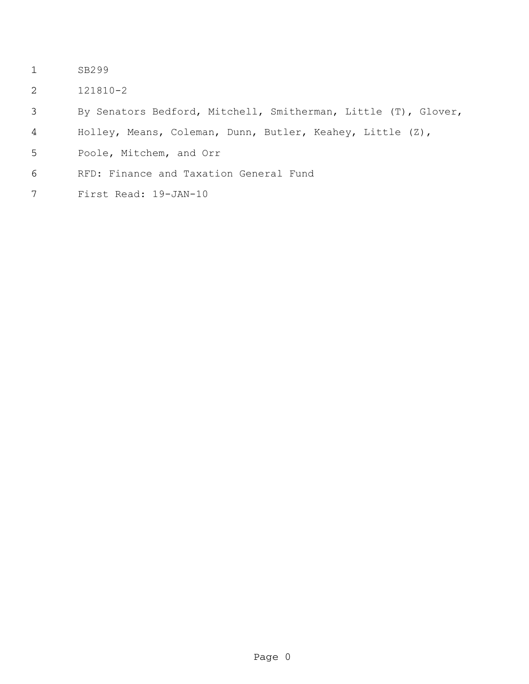- SB299
- 121810-2
- By Senators Bedford, Mitchell, Smitherman, Little (T), Glover,
- Holley, Means, Coleman, Dunn, Butler, Keahey, Little (Z),
- Poole, Mitchem, and Orr
- RFD: Finance and Taxation General Fund
- First Read: 19-JAN-10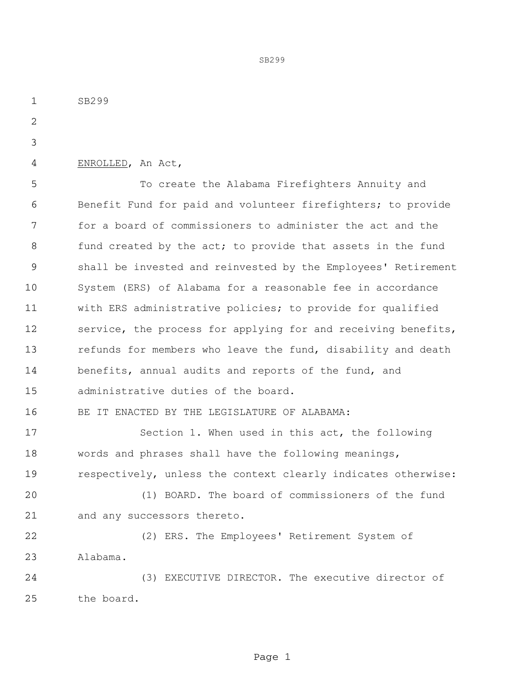SB299 ENROLLED, An Act, To create the Alabama Firefighters Annuity and Benefit Fund for paid and volunteer firefighters; to provide for a board of commissioners to administer the act and the 8 fund created by the act; to provide that assets in the fund shall be invested and reinvested by the Employees' Retirement System (ERS) of Alabama for a reasonable fee in accordance with ERS administrative policies; to provide for qualified 12 service, the process for applying for and receiving benefits, 13 refunds for members who leave the fund, disability and death benefits, annual audits and reports of the fund, and administrative duties of the board. BE IT ENACTED BY THE LEGISLATURE OF ALABAMA: Section 1. When used in this act, the following words and phrases shall have the following meanings, respectively, unless the context clearly indicates otherwise: (1) BOARD. The board of commissioners of the fund and any successors thereto. (2) ERS. The Employees' Retirement System of Alabama. (3) EXECUTIVE DIRECTOR. The executive director of the board.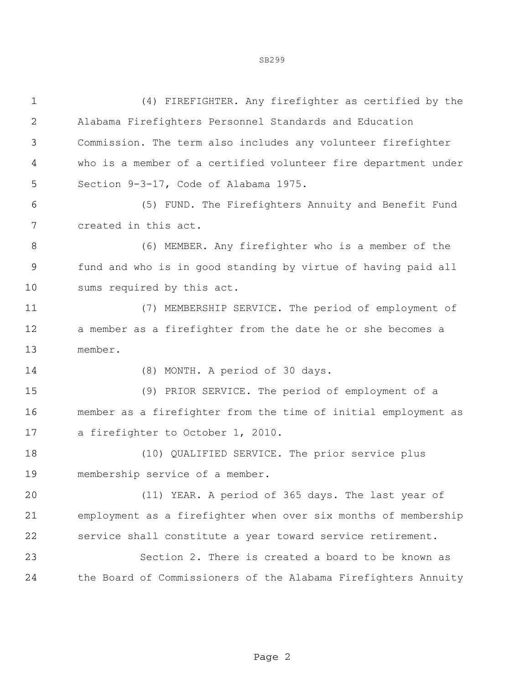| $\mathbf 1$    | (4) FIREFIGHTER. Any firefighter as certified by the           |  |  |
|----------------|----------------------------------------------------------------|--|--|
| $\sqrt{2}$     | Alabama Firefighters Personnel Standards and Education         |  |  |
| $\mathfrak{Z}$ | Commission. The term also includes any volunteer firefighter   |  |  |
| 4              | who is a member of a certified volunteer fire department under |  |  |
| 5              | Section 9-3-17, Code of Alabama 1975.                          |  |  |
| 6              | (5) FUND. The Firefighters Annuity and Benefit Fund            |  |  |
| 7              | created in this act.                                           |  |  |
| 8              | (6) MEMBER. Any firefighter who is a member of the             |  |  |
| $\mathsf 9$    | fund and who is in good standing by virtue of having paid all  |  |  |
| 10             | sums required by this act.                                     |  |  |
| 11             | (7) MEMBERSHIP SERVICE. The period of employment of            |  |  |
| 12             | a member as a firefighter from the date he or she becomes a    |  |  |
| 13             | member.                                                        |  |  |
| 14             | (8) MONTH. A period of 30 days.                                |  |  |
| 15             | (9) PRIOR SERVICE. The period of employment of a               |  |  |
| 16             | member as a firefighter from the time of initial employment as |  |  |
| 17             | a firefighter to October 1, 2010.                              |  |  |
| 18             | (10) QUALIFIED SERVICE. The prior service plus                 |  |  |
| 19             | membership service of a member.                                |  |  |
| 20             | (11) YEAR. A period of 365 days. The last year of              |  |  |
| 21             | employment as a firefighter when over six months of membership |  |  |
| 22             | service shall constitute a year toward service retirement.     |  |  |
| 23             | Section 2. There is created a board to be known as             |  |  |
| 24             | the Board of Commissioners of the Alabama Firefighters Annuity |  |  |
|                |                                                                |  |  |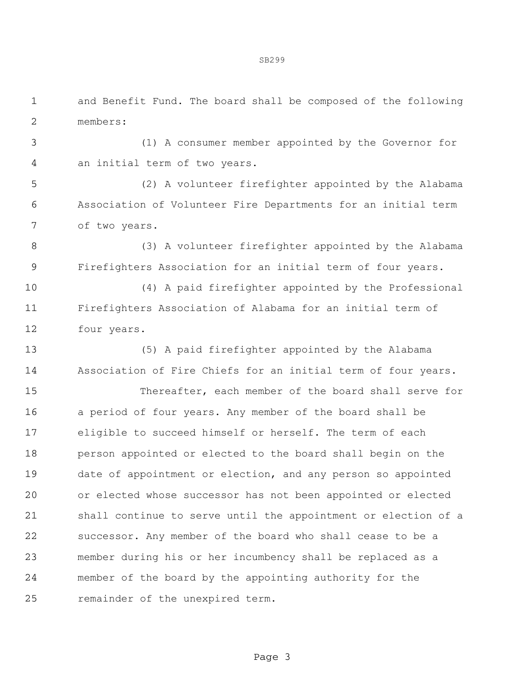and Benefit Fund. The board shall be composed of the following members:

 (1) A consumer member appointed by the Governor for an initial term of two years.

 (2) A volunteer firefighter appointed by the Alabama Association of Volunteer Fire Departments for an initial term of two years.

 (3) A volunteer firefighter appointed by the Alabama Firefighters Association for an initial term of four years.

 (4) A paid firefighter appointed by the Professional Firefighters Association of Alabama for an initial term of four years.

 (5) A paid firefighter appointed by the Alabama Association of Fire Chiefs for an initial term of four years.

 Thereafter, each member of the board shall serve for a period of four years. Any member of the board shall be eligible to succeed himself or herself. The term of each person appointed or elected to the board shall begin on the date of appointment or election, and any person so appointed or elected whose successor has not been appointed or elected shall continue to serve until the appointment or election of a successor. Any member of the board who shall cease to be a member during his or her incumbency shall be replaced as a member of the board by the appointing authority for the remainder of the unexpired term.

Page 3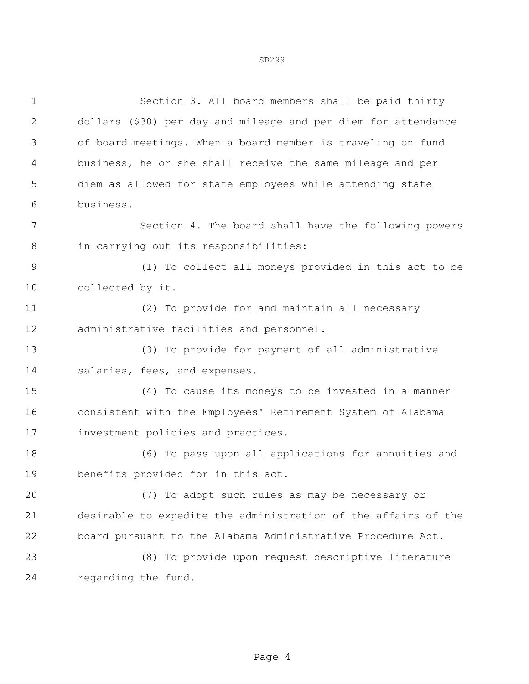Section 3. All board members shall be paid thirty dollars (\$30) per day and mileage and per diem for attendance of board meetings. When a board member is traveling on fund business, he or she shall receive the same mileage and per diem as allowed for state employees while attending state business.

 Section 4. The board shall have the following powers in carrying out its responsibilities:

 (1) To collect all moneys provided in this act to be collected by it.

 (2) To provide for and maintain all necessary administrative facilities and personnel.

 (3) To provide for payment of all administrative salaries, fees, and expenses.

 (4) To cause its moneys to be invested in a manner consistent with the Employees' Retirement System of Alabama investment policies and practices.

 (6) To pass upon all applications for annuities and benefits provided for in this act.

 (7) To adopt such rules as may be necessary or desirable to expedite the administration of the affairs of the board pursuant to the Alabama Administrative Procedure Act.

 (8) To provide upon request descriptive literature regarding the fund.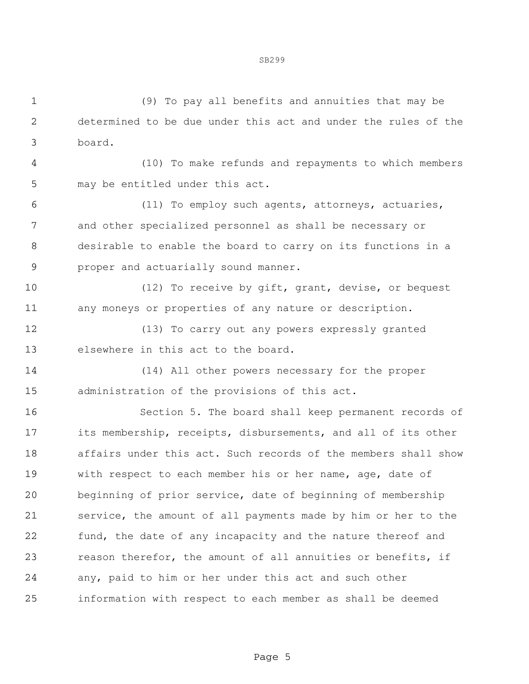SB299

 (9) To pay all benefits and annuities that may be determined to be due under this act and under the rules of the board.

 (10) To make refunds and repayments to which members may be entitled under this act.

 (11) To employ such agents, attorneys, actuaries, and other specialized personnel as shall be necessary or desirable to enable the board to carry on its functions in a proper and actuarially sound manner.

 (12) To receive by gift, grant, devise, or bequest any moneys or properties of any nature or description.

 (13) To carry out any powers expressly granted elsewhere in this act to the board.

 (14) All other powers necessary for the proper administration of the provisions of this act.

 Section 5. The board shall keep permanent records of its membership, receipts, disbursements, and all of its other affairs under this act. Such records of the members shall show with respect to each member his or her name, age, date of beginning of prior service, date of beginning of membership service, the amount of all payments made by him or her to the 22 fund, the date of any incapacity and the nature thereof and reason therefor, the amount of all annuities or benefits, if any, paid to him or her under this act and such other information with respect to each member as shall be deemed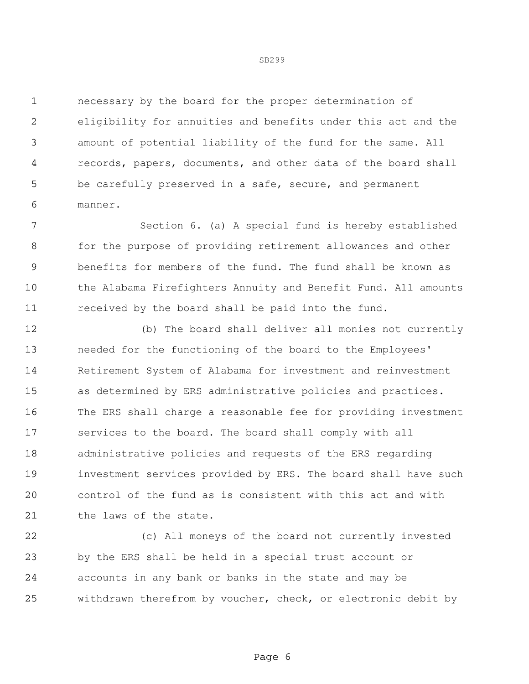necessary by the board for the proper determination of eligibility for annuities and benefits under this act and the amount of potential liability of the fund for the same. All records, papers, documents, and other data of the board shall be carefully preserved in a safe, secure, and permanent manner.

 Section 6. (a) A special fund is hereby established for the purpose of providing retirement allowances and other benefits for members of the fund. The fund shall be known as the Alabama Firefighters Annuity and Benefit Fund. All amounts received by the board shall be paid into the fund.

 (b) The board shall deliver all monies not currently needed for the functioning of the board to the Employees' Retirement System of Alabama for investment and reinvestment as determined by ERS administrative policies and practices. The ERS shall charge a reasonable fee for providing investment services to the board. The board shall comply with all administrative policies and requests of the ERS regarding investment services provided by ERS. The board shall have such control of the fund as is consistent with this act and with the laws of the state.

 (c) All moneys of the board not currently invested by the ERS shall be held in a special trust account or accounts in any bank or banks in the state and may be withdrawn therefrom by voucher, check, or electronic debit by

## SB299

Page 6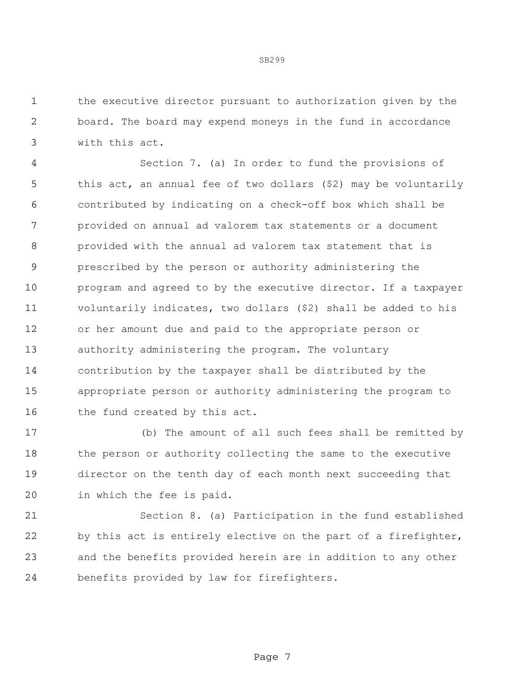the executive director pursuant to authorization given by the board. The board may expend moneys in the fund in accordance with this act.

 Section 7. (a) In order to fund the provisions of this act, an annual fee of two dollars (\$2) may be voluntarily contributed by indicating on a check-off box which shall be provided on annual ad valorem tax statements or a document provided with the annual ad valorem tax statement that is prescribed by the person or authority administering the program and agreed to by the executive director. If a taxpayer voluntarily indicates, two dollars (\$2) shall be added to his or her amount due and paid to the appropriate person or authority administering the program. The voluntary contribution by the taxpayer shall be distributed by the appropriate person or authority administering the program to 16 the fund created by this act.

 (b) The amount of all such fees shall be remitted by the person or authority collecting the same to the executive director on the tenth day of each month next succeeding that in which the fee is paid.

 Section 8. (a) Participation in the fund established by this act is entirely elective on the part of a firefighter, and the benefits provided herein are in addition to any other benefits provided by law for firefighters.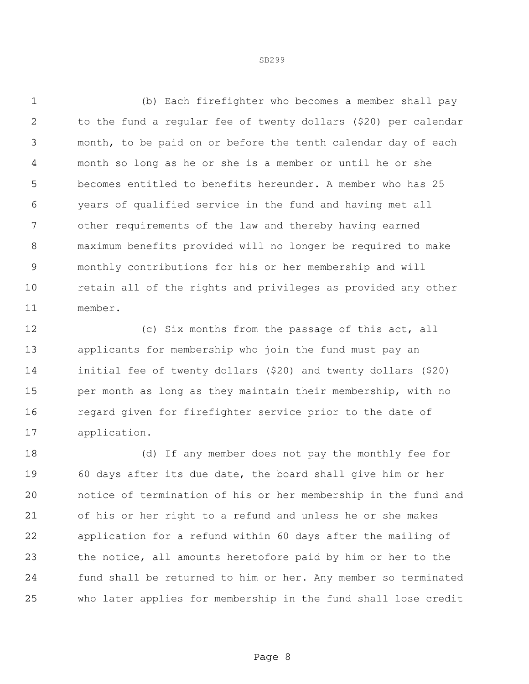(b) Each firefighter who becomes a member shall pay to the fund a regular fee of twenty dollars (\$20) per calendar month, to be paid on or before the tenth calendar day of each month so long as he or she is a member or until he or she becomes entitled to benefits hereunder. A member who has 25 years of qualified service in the fund and having met all other requirements of the law and thereby having earned maximum benefits provided will no longer be required to make monthly contributions for his or her membership and will retain all of the rights and privileges as provided any other member.

 (c) Six months from the passage of this act, all applicants for membership who join the fund must pay an initial fee of twenty dollars (\$20) and twenty dollars (\$20) per month as long as they maintain their membership, with no regard given for firefighter service prior to the date of application.

 (d) If any member does not pay the monthly fee for 60 days after its due date, the board shall give him or her notice of termination of his or her membership in the fund and of his or her right to a refund and unless he or she makes application for a refund within 60 days after the mailing of the notice, all amounts heretofore paid by him or her to the fund shall be returned to him or her. Any member so terminated who later applies for membership in the fund shall lose credit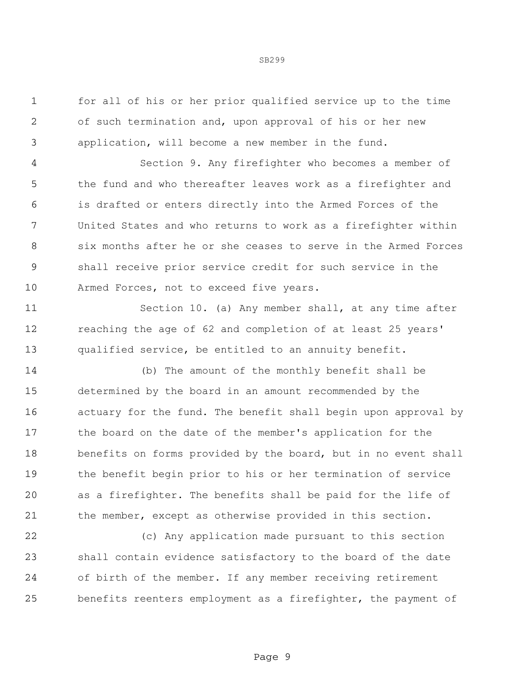for all of his or her prior qualified service up to the time of such termination and, upon approval of his or her new application, will become a new member in the fund.

 Section 9. Any firefighter who becomes a member of the fund and who thereafter leaves work as a firefighter and is drafted or enters directly into the Armed Forces of the United States and who returns to work as a firefighter within six months after he or she ceases to serve in the Armed Forces shall receive prior service credit for such service in the Armed Forces, not to exceed five years.

 Section 10. (a) Any member shall, at any time after reaching the age of 62 and completion of at least 25 years' qualified service, be entitled to an annuity benefit.

 (b) The amount of the monthly benefit shall be determined by the board in an amount recommended by the actuary for the fund. The benefit shall begin upon approval by the board on the date of the member's application for the benefits on forms provided by the board, but in no event shall the benefit begin prior to his or her termination of service as a firefighter. The benefits shall be paid for the life of the member, except as otherwise provided in this section.

 (c) Any application made pursuant to this section shall contain evidence satisfactory to the board of the date of birth of the member. If any member receiving retirement benefits reenters employment as a firefighter, the payment of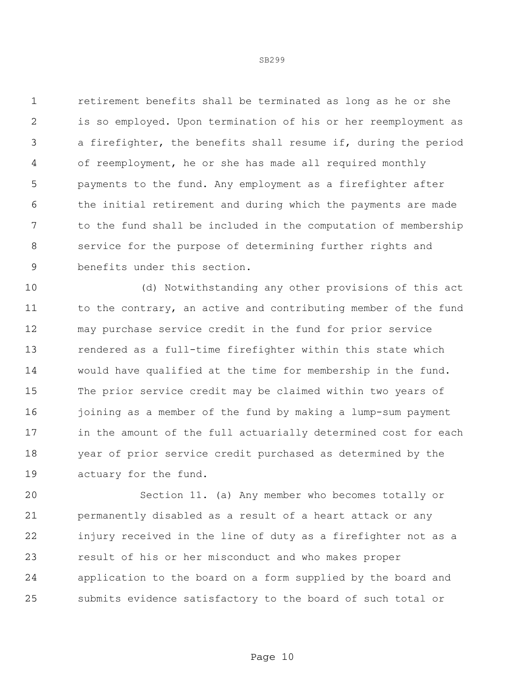retirement benefits shall be terminated as long as he or she is so employed. Upon termination of his or her reemployment as a firefighter, the benefits shall resume if, during the period of reemployment, he or she has made all required monthly payments to the fund. Any employment as a firefighter after the initial retirement and during which the payments are made to the fund shall be included in the computation of membership service for the purpose of determining further rights and benefits under this section.

 (d) Notwithstanding any other provisions of this act 11 to the contrary, an active and contributing member of the fund may purchase service credit in the fund for prior service rendered as a full-time firefighter within this state which would have qualified at the time for membership in the fund. The prior service credit may be claimed within two years of 16 joining as a member of the fund by making a lump-sum payment in the amount of the full actuarially determined cost for each year of prior service credit purchased as determined by the actuary for the fund.

 Section 11. (a) Any member who becomes totally or permanently disabled as a result of a heart attack or any injury received in the line of duty as a firefighter not as a result of his or her misconduct and who makes proper application to the board on a form supplied by the board and submits evidence satisfactory to the board of such total or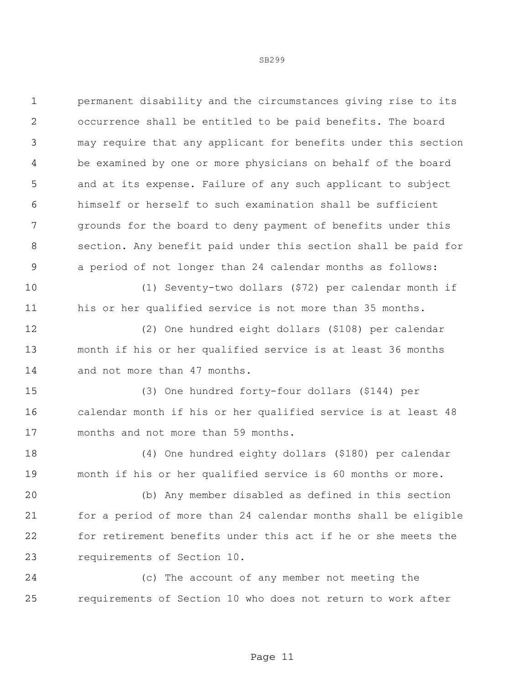permanent disability and the circumstances giving rise to its occurrence shall be entitled to be paid benefits. The board may require that any applicant for benefits under this section be examined by one or more physicians on behalf of the board and at its expense. Failure of any such applicant to subject himself or herself to such examination shall be sufficient grounds for the board to deny payment of benefits under this section. Any benefit paid under this section shall be paid for a period of not longer than 24 calendar months as follows:

 (1) Seventy-two dollars (\$72) per calendar month if his or her qualified service is not more than 35 months.

 (2) One hundred eight dollars (\$108) per calendar month if his or her qualified service is at least 36 months and not more than 47 months.

 (3) One hundred forty-four dollars (\$144) per calendar month if his or her qualified service is at least 48 months and not more than 59 months.

 (4) One hundred eighty dollars (\$180) per calendar month if his or her qualified service is 60 months or more.

 (b) Any member disabled as defined in this section for a period of more than 24 calendar months shall be eligible for retirement benefits under this act if he or she meets the requirements of Section 10.

 (c) The account of any member not meeting the requirements of Section 10 who does not return to work after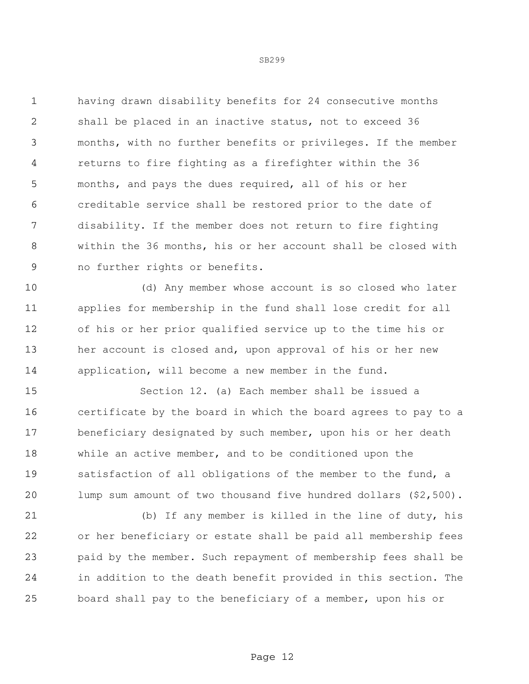having drawn disability benefits for 24 consecutive months shall be placed in an inactive status, not to exceed 36 months, with no further benefits or privileges. If the member returns to fire fighting as a firefighter within the 36 months, and pays the dues required, all of his or her creditable service shall be restored prior to the date of disability. If the member does not return to fire fighting within the 36 months, his or her account shall be closed with no further rights or benefits.

 (d) Any member whose account is so closed who later applies for membership in the fund shall lose credit for all of his or her prior qualified service up to the time his or her account is closed and, upon approval of his or her new application, will become a new member in the fund.

 Section 12. (a) Each member shall be issued a certificate by the board in which the board agrees to pay to a beneficiary designated by such member, upon his or her death while an active member, and to be conditioned upon the satisfaction of all obligations of the member to the fund, a lump sum amount of two thousand five hundred dollars (\$2,500).

 (b) If any member is killed in the line of duty, his or her beneficiary or estate shall be paid all membership fees paid by the member. Such repayment of membership fees shall be in addition to the death benefit provided in this section. The board shall pay to the beneficiary of a member, upon his or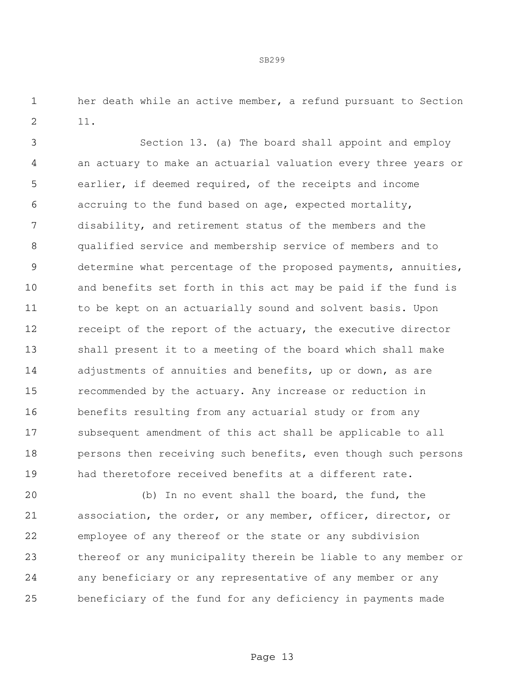her death while an active member, a refund pursuant to Section 11.

 Section 13. (a) The board shall appoint and employ an actuary to make an actuarial valuation every three years or earlier, if deemed required, of the receipts and income accruing to the fund based on age, expected mortality, disability, and retirement status of the members and the qualified service and membership service of members and to determine what percentage of the proposed payments, annuities, and benefits set forth in this act may be paid if the fund is to be kept on an actuarially sound and solvent basis. Upon receipt of the report of the actuary, the executive director shall present it to a meeting of the board which shall make 14 adjustments of annuities and benefits, up or down, as are recommended by the actuary. Any increase or reduction in benefits resulting from any actuarial study or from any subsequent amendment of this act shall be applicable to all persons then receiving such benefits, even though such persons had theretofore received benefits at a different rate.

 (b) In no event shall the board, the fund, the association, the order, or any member, officer, director, or employee of any thereof or the state or any subdivision thereof or any municipality therein be liable to any member or any beneficiary or any representative of any member or any beneficiary of the fund for any deficiency in payments made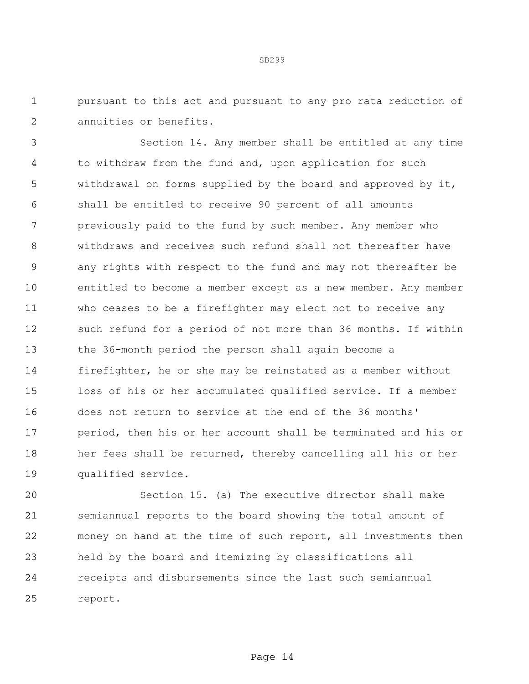pursuant to this act and pursuant to any pro rata reduction of annuities or benefits.

 Section 14. Any member shall be entitled at any time to withdraw from the fund and, upon application for such withdrawal on forms supplied by the board and approved by it, shall be entitled to receive 90 percent of all amounts previously paid to the fund by such member. Any member who withdraws and receives such refund shall not thereafter have any rights with respect to the fund and may not thereafter be entitled to become a member except as a new member. Any member who ceases to be a firefighter may elect not to receive any such refund for a period of not more than 36 months. If within the 36-month period the person shall again become a firefighter, he or she may be reinstated as a member without loss of his or her accumulated qualified service. If a member does not return to service at the end of the 36 months' period, then his or her account shall be terminated and his or her fees shall be returned, thereby cancelling all his or her qualified service.

 Section 15. (a) The executive director shall make semiannual reports to the board showing the total amount of money on hand at the time of such report, all investments then held by the board and itemizing by classifications all receipts and disbursements since the last such semiannual report.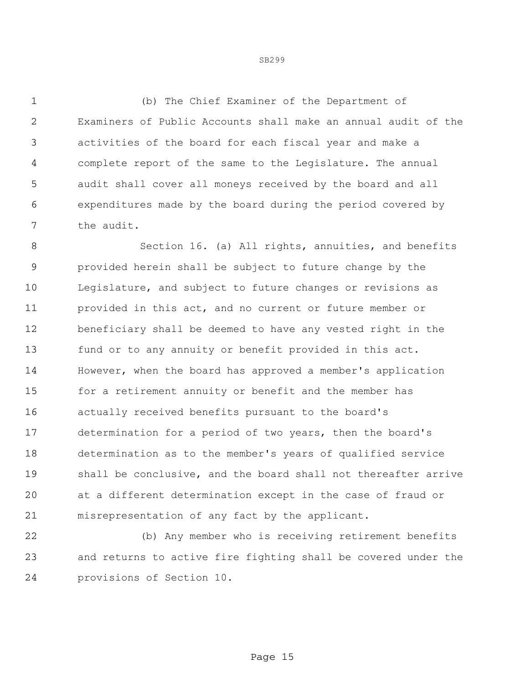(b) The Chief Examiner of the Department of Examiners of Public Accounts shall make an annual audit of the activities of the board for each fiscal year and make a complete report of the same to the Legislature. The annual audit shall cover all moneys received by the board and all expenditures made by the board during the period covered by the audit.

 Section 16. (a) All rights, annuities, and benefits provided herein shall be subject to future change by the Legislature, and subject to future changes or revisions as provided in this act, and no current or future member or beneficiary shall be deemed to have any vested right in the fund or to any annuity or benefit provided in this act. However, when the board has approved a member's application for a retirement annuity or benefit and the member has actually received benefits pursuant to the board's determination for a period of two years, then the board's determination as to the member's years of qualified service shall be conclusive, and the board shall not thereafter arrive at a different determination except in the case of fraud or misrepresentation of any fact by the applicant.

 (b) Any member who is receiving retirement benefits and returns to active fire fighting shall be covered under the provisions of Section 10.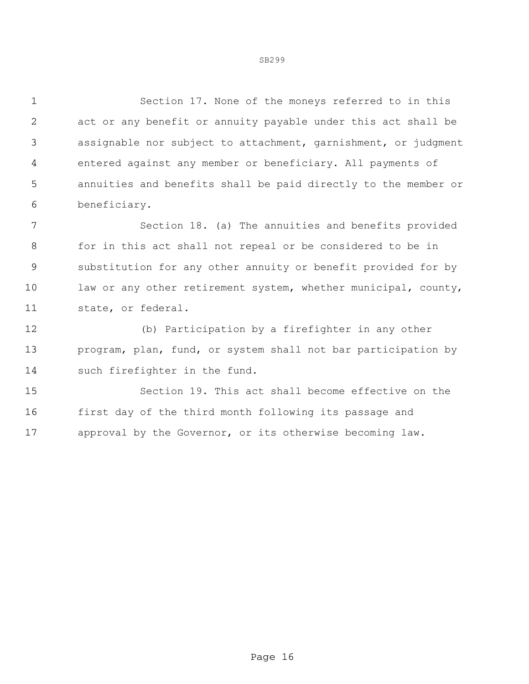Section 17. None of the moneys referred to in this act or any benefit or annuity payable under this act shall be assignable nor subject to attachment, garnishment, or judgment entered against any member or beneficiary. All payments of annuities and benefits shall be paid directly to the member or beneficiary.

 Section 18. (a) The annuities and benefits provided for in this act shall not repeal or be considered to be in substitution for any other annuity or benefit provided for by 10 law or any other retirement system, whether municipal, county, state, or federal.

 (b) Participation by a firefighter in any other program, plan, fund, or system shall not bar participation by such firefighter in the fund.

 Section 19. This act shall become effective on the first day of the third month following its passage and approval by the Governor, or its otherwise becoming law.